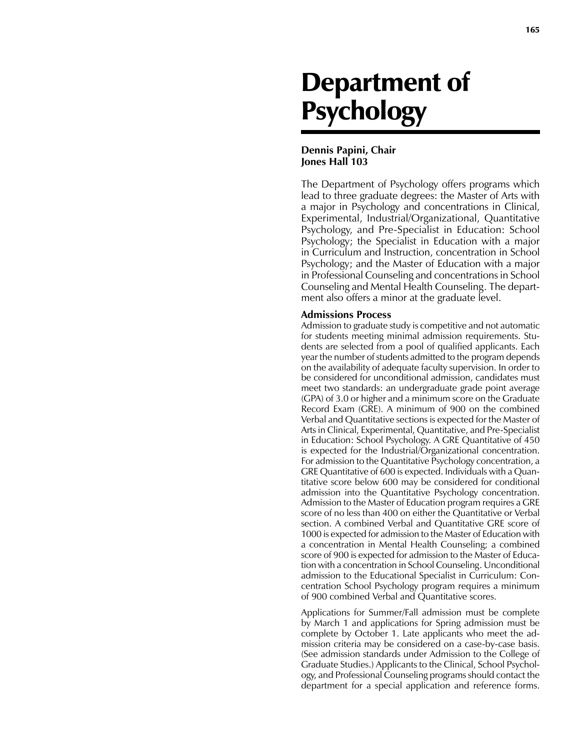# Department of **Psychology**

# **Dennis Papini, Chair Jones Hall 103**

The Department of Psychology offers programs which lead to three graduate degrees: the Master of Arts with a major in Psychology and concentrations in Clinical, Experimental, Industrial/Organizational, Quantitative Psychology, and Pre-Specialist in Education: School Psychology; the Specialist in Education with a major in Curriculum and Instruction, concentration in School Psychology; and the Master of Education with a major in Professional Counseling and concentrations in School Counseling and Mental Health Counseling. The department also offers a minor at the graduate level.

# **Admissions Process**

Admission to graduate study is competitive and not automatic for students meeting minimal admission requirements. Students are selected from a pool of qualified applicants. Each year the number of students admitted to the program depends on the availability of adequate faculty supervision. In order to be considered for unconditional admission, candidates must meet two standards: an undergraduate grade point average (GPA) of 3.0 or higher and a minimum score on the Graduate Record Exam (GRE). A minimum of 900 on the combined Verbal and Quantitative sections is expected for the Master of Arts in Clinical, Experimental, Quantitative, and Pre-Specialist in Education: School Psychology. A GRE Quantitative of 450 is expected for the Industrial/Organizational concentration. For admission to the Quantitative Psychology concentration, a GRE Quantitative of 600 is expected. Individuals with a Quantitative score below 600 may be considered for conditional admission into the Quantitative Psychology concentration. Admission to the Master of Education program requires a GRE score of no less than 400 on either the Quantitative or Verbal section. A combined Verbal and Quantitative GRE score of 1000 is expected for admission to the Master of Education with a concentration in Mental Health Counseling; a combined score of 900 is expected for admission to the Master of Education with a concentration in School Counseling. Unconditional admission to the Educational Specialist in Curriculum: Concentration School Psychology program requires a minimum of 900 combined Verbal and Quantitative scores.

Applications for Summer/Fall admission must be complete by March 1 and applications for Spring admission must be complete by October 1. Late applicants who meet the admission criteria may be considered on a case-by-case basis. (See admission standards under Admission to the College of Graduate Studies.) Applicants to the Clinical, School Psychology, and Professional Counseling programs should contact the department for a special application and reference forms.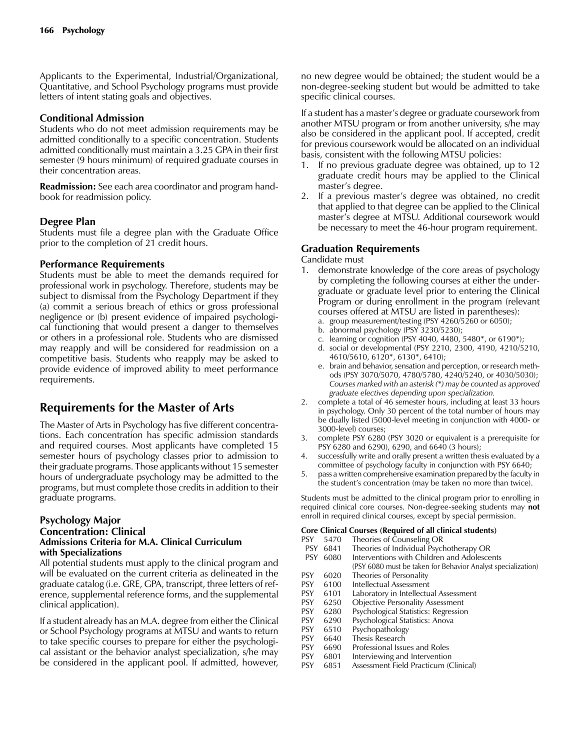Applicants to the Experimental, Industrial/Organizational, Quantitative, and School Psychology programs must provide letters of intent stating goals and objectives.

# **Conditional Admission**

Students who do not meet admission requirements may be admitted conditionally to a specific concentration. Students admitted conditionally must maintain a 3.25 GPA in their first semester (9 hours minimum) of required graduate courses in their concentration areas.

**Readmission:** See each area coordinator and program handbook for readmission policy.

# **Degree Plan**

Students must file a degree plan with the Graduate Office prior to the completion of 21 credit hours.

# **Performance Requirements**

Students must be able to meet the demands required for professional work in psychology. Therefore, students may be subject to dismissal from the Psychology Department if they (a) commit a serious breach of ethics or gross professional negligence or (b) present evidence of impaired psychological functioning that would present a danger to themselves or others in a professional role. Students who are dismissed may reapply and will be considered for readmission on a competitive basis. Students who reapply may be asked to provide evidence of improved ability to meet performance requirements.

# **Requirements for the Master of Arts**

The Master of Arts in Psychology has five different concentrations. Each concentration has specific admission standards and required courses. Most applicants have completed 15 semester hours of psychology classes prior to admission to their graduate programs. Those applicants without 15 semester hours of undergraduate psychology may be admitted to the programs, but must complete those credits in addition to their graduate programs.

## **Psychology Major Concentration: Clinical Admissions Criteria for M.A. Clinical Curriculum with Specializations**

All potential students must apply to the clinical program and will be evaluated on the current criteria as delineated in the graduate catalog (i.e. GRE, GPA, transcript, three letters of reference, supplemental reference forms, and the supplemental clinical application).

If a student already has an M.A. degree from either the Clinical or School Psychology programs at MTSU and wants to return to take specific courses to prepare for either the psychological assistant or the behavior analyst specialization, s/he may be considered in the applicant pool. If admitted, however,

no new degree would be obtained; the student would be a non-degree-seeking student but would be admitted to take specific clinical courses.

If a student has a master's degree or graduate coursework from another MTSU program or from another university, s/he may also be considered in the applicant pool. If accepted, credit for previous coursework would be allocated on an individual basis, consistent with the following MTSU policies:

- 1. If no previous graduate degree was obtained, up to 12 graduate credit hours may be applied to the Clinical master's degree.
- 2. If a previous master's degree was obtained, no credit that applied to that degree can be applied to the Clinical master's degree at MTSU. Additional coursework would be necessary to meet the 46-hour program requirement.

# **Graduation Requirements**

Candidate must

- 1. demonstrate knowledge of the core areas of psychology by completing the following courses at either the undergraduate or graduate level prior to entering the Clinical Program or during enrollment in the program (relevant courses offered at MTSU are listed in parentheses):
	- a. group measurement/testing (PSY 4260/5260 or 6050);
	- b. abnormal psychology (PSY 3230/5230);
	- c. learning or cognition (PSY 4040, 4480, 5480\*, or 6190\*);
	- d. social or developmental (PSY 2210, 2300, 4190, 4210/5210, 4610/5610, 6120\*, 6130\*, 6410);
	- e. brain and behavior, sensation and perception, or research methods (PSY 3070/5070, 4780/5780, 4240/5240, or 4030/5030);  *Courses marked with an asterisk (\*) may be counted as approved graduate electives depending upon specialization.*
- 2. complete a total of 46 semester hours, including at least 33 hours in psychology. Only 30 percent of the total number of hours may be dually listed (5000-level meeting in conjunction with 4000- or 3000-level) courses;
- 3. complete PSY 6280 (PSY 3020 or equivalent is a prerequisite for PSY 6280 and 6290), 6290, and 6640 (3 hours);
- 4. successfully write and orally present a written thesis evaluated by a committee of psychology faculty in conjunction with PSY 6640;
- 5. pass a written comprehensive examination prepared by the faculty in the student's concentration (may be taken no more than twice).

Students must be admitted to the clinical program prior to enrolling in required clinical core courses. Non-degree-seeking students may **not** enroll in required clinical courses, except by special permission.

# **Core Clinical Courses (Required of all clinical students)**

- 
- PSY 5470 Theories of Counseling OR<br>PSY 6841 Theories of Individual Psycl Theories of Individual Psychotherapy OR
- PSY 6080 Interventions with Children and Adolescents
- (PSY 6080 must be taken for Behavior Analyst specialization) PSY 6020 Theories of Personality
- 
- PSY 6100 Intellectual Assessment<br>PSY 6101 Laboratory in Intellectu Laboratory in Intellectual Assessment
- PSY 6250 Objective Personality Assessment
- PSY 6280 Psychological Statistics: Regression<br>PSY 6290 Psychological Statistics: Anova
- PSY 6290 Psychological Statistics: Anova<br>PSY 6510 Psychopathology
- Psychopathology
- PSY 6640 Thesis Research<br>
PSY 6690 Professional Issu
- Professional Issues and Roles
- PSY 6801 Interviewing and Intervention<br>PSY 6851 Assessment Field Practicum (C
- Assessment Field Practicum (Clinical)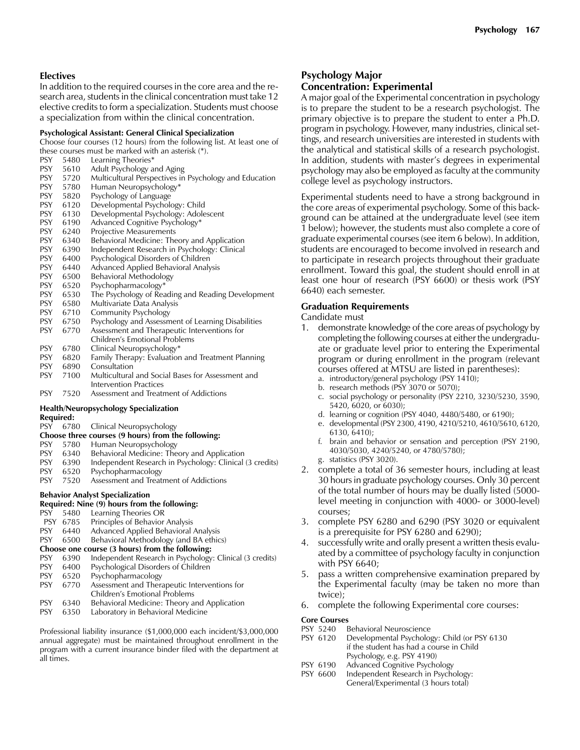# **Electives**

In addition to the required courses in the core area and the research area, students in the clinical concentration must take 12 elective credits to form a specialization. Students must choose a specialization from within the clinical concentration.

#### **Psychological Assistant: General Clinical Specialization**

Choose four courses (12 hours) from the following list. At least one of these courses must be marked with an asterisk (\*).

- PSY 5480 Learning Theories\*<br>PSY 5610 Adult Psychology a 5610 Adult Psychology and Aging PSY 5720 Multicultural Perspectives in Psychology and Education PSY 5780 Human Neuropsychology\*<br>
PSY 5820 Psychology of Language PSY 5820 Psychology of Language<br>
PSY 6120 Developmental Psycholo Developmental Psychology: Child PSY 6130 Developmental Psychology: Adolescent<br>
PSY 6190 Advanced Cognitive Psychology\* Advanced Cognitive Psychology\* PSY 6240 Projective Measurements<br>PSY 6340 Behavioral Medicine: The 6340 Behavioral Medicine: Theory and Application PSY 6390 Independent Research in Psychology: Clinical<br>PSY 6400 Psychological Disorders of Children Psychological Disorders of Children PSY 6440 Advanced Applied Behavioral Analysis PSY 6500 Behavioral Methodology<br>
PSY 6520 Psychopharmacology\* Psychopharmacology\* PSY 6530 The Psychology of Reading and Reading Development PSY 6580 Multivariate Data Analysis PSY 6710 Community Psychology PSY 6750 Psychology and Assessment of Learning Disabilities<br>PSY 6770 Assessment and Therapeutic Interventions for Assessment and Therapeutic Interventions for Children's Emotional Problems<br>6780 Clinical Neuropsychology\* PSY 6780 Clinical Neuropsychology\*<br>
PSY 6820 Family Therapy: Evaluation Family Therapy: Evaluation and Treatment Planning PSY 6890 Consultation PSY 7100 Multicultural and Social Bases for Assessment and Intervention Practices<br>7520 Assessment and Treatr PSY 7520 Assessment and Treatment of Addictions **Health/Neuropsychology Specialization Required:** PSY 6780 Clinical Neuropsychology **Choose three courses (9 hours) from the following:**  PSY 5780 Human Neuropsychology<br>PSY 6340 Behavioral Medicine: The PSY 6340 Behavioral Medicine: Theory and Application PSY 6390 Independent Research in Psychology: Clinical (3 credits) PSY 6520 Psychopharmacology PSY 7520 Assessment and Treatment of Addictions **Behavior Analyst Specialization Required: Nine (9) hours from the following:** PSY 5480 Learning Theories OR **PSY 6785** Principles of Behavior Analysis<br>PSY 6440 Advanced Applied Behavioral Advanced Applied Behavioral Analysis PSY 6500 Behavioral Methodology (and BA ethics)
- **Choose one course (3 hours) from the following:**<br>PSY 6390 Independent Research in Psychology
- Independent Research in Psychology: Clinical (3 credits)
- PSY 6400 Psychological Disorders of Children
- PSY 6520 Psychopharmacology
- PSY 6770 Assessment and Therapeutic Interventions for Children's Emotional Problems<br>PSY 6340 Behavioral Medicine: Theory a
- Behavioral Medicine: Theory and Application
- PSY 6350 Laboratory in Behavioral Medicine

Professional liability insurance (\$1,000,000 each incident/\$3,000,000 annual aggregate) must be maintained throughout enrollment in the program with a current insurance binder filed with the department at all times.

# **Psychology Major**

# **Concentration: Experimental**

A major goal of the Experimental concentration in psychology is to prepare the student to be a research psychologist. The primary objective is to prepare the student to enter a Ph.D. program in psychology. However, many industries, clinical settings, and research universities are interested in students with the analytical and statistical skills of a research psychologist. In addition, students with master's degrees in experimental psychology may also be employed as faculty at the community college level as psychology instructors.

Experimental students need to have a strong background in the core areas of experimental psychology. Some of this background can be attained at the undergraduate level (see item 1 below); however, the students must also complete a core of graduate experimental courses (see item 6 below). In addition, students are encouraged to become involved in research and to participate in research projects throughout their graduate enrollment. Toward this goal, the student should enroll in at least one hour of research (PSY 6600) or thesis work (PSY 6640) each semester.

# **Graduation Requirements**

## Candidate must

- 1. demonstrate knowledge of the core areas of psychology by completing the following courses at either the undergraduate or graduate level prior to entering the Experimental program or during enrollment in the program (relevant courses offered at MTSU are listed in parentheses):
	- a. introductory/general psychology (PSY 1410);
	- b. research methods (PSY 3070 or 5070);
	- c. social psychology or personality (PSY 2210, 3230/5230, 3590, 5420, 6020, or 6030);
	- d. learning or cognition (PSY 4040, 4480/5480, or 6190);
	- e. developmental (PSY 2300, 4190, 4210/5210, 4610/5610, 6120, 6130, 6410);
	- f. brain and behavior or sensation and perception (PSY 2190, 4030/5030, 4240/5240, or 4780/5780);
	- g. statistics (PSY 3020).
- 2. complete a total of 36 semester hours, including at least 30 hours in graduate psychology courses. Only 30 percent of the total number of hours may be dually listed (5000 level meeting in conjunction with 4000- or 3000-level) courses;
- 3. complete PSY 6280 and 6290 (PSY 3020 or equivalent is a prerequisite for PSY 6280 and 6290);
- 4. successfully write and orally present a written thesis evaluated by a committee of psychology faculty in conjunction with PSY 6640;
- 5. pass a written comprehensive examination prepared by the Experimental faculty (may be taken no more than twice);
- 6. complete the following Experimental core courses:

#### **Core Courses**

- **PSY 5240** Behavioral Neuroscience<br> **PSY 6120** Developmental Psycholog
- Developmental Psychology: Child (or PSY 6130 if the student has had a course in Child Psychology, e.g. PSY 4190)<br>PSY 6190 Advanced Cognitive Psycho
- Advanced Cognitive Psychology
- PSY 6600 Independent Research in Psychology: General/Experimental (3 hours total)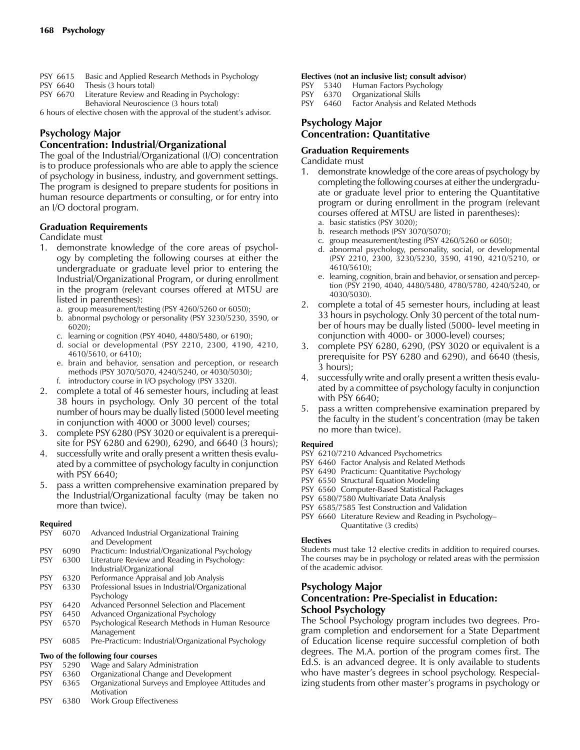- PSY 6615 Basic and Applied Research Methods in Psychology
- PSY 6640 Thesis (3 hours total)
- PSY 6670 Literature Review and Reading in Psychology: Behavioral Neuroscience (3 hours total)

6 hours of elective chosen with the approval of the student's advisor.

# **Psychology Major**

# **Concentration: Industrial/Organizational**

The goal of the Industrial/Organizational (I/O) concentration is to produce professionals who are able to apply the science of psychology in business, industry, and government settings. The program is designed to prepare students for positions in human resource departments or consulting, or for entry into an I/O doctoral program.

# **Graduation Requirements**

Candidate must

- 1. demonstrate knowledge of the core areas of psychology by completing the following courses at either the undergraduate or graduate level prior to entering the Industrial/Organizational Program, or during enrollment in the program (relevant courses offered at MTSU are listed in parentheses):
	- a. group measurement/testing (PSY 4260/5260 or 6050);
	- b. abnormal psychology or personality (PSY 3230/5230, 3590, or 6020);
	- c. learning or cognition (PSY 4040, 4480/5480, or 6190);
	- d. social or developmental (PSY 2210, 2300, 4190, 4210, 4610/5610, or 6410);
	- e. brain and behavior, sensation and perception, or research methods (PSY 3070/5070, 4240/5240, or 4030/5030);
	- f. introductory course in I/O psychology (PSY 3320).
- 2. complete a total of 46 semester hours, including at least 38 hours in psychology. Only 30 percent of the total number of hours may be dually listed (5000 level meeting in conjunction with 4000 or 3000 level) courses;
- 3. complete PSY 6280 (PSY 3020 or equivalent is a prerequisite for PSY 6280 and 6290), 6290, and 6640 (3 hours);
- 4. successfully write and orally present a written thesis evaluated by a committee of psychology faculty in conjunction with PSY 6640;
- 5. pass a written comprehensive examination prepared by the Industrial/Organizational faculty (may be taken no more than twice).

# **Required**

| <b>PSY</b> | 6070 | Advanced Industrial Organizational Training         |
|------------|------|-----------------------------------------------------|
|            |      | and Development                                     |
| <b>PSY</b> | 6090 | Practicum: Industrial/Organizational Psychology     |
| <b>PSY</b> | 6300 | Literature Review and Reading in Psychology:        |
|            |      | Industrial/Organizational                           |
| <b>PSY</b> | 6320 | Performance Appraisal and Job Analysis              |
| <b>PSY</b> | 6330 | Professional Issues in Industrial/Organizational    |
|            |      | Psychology                                          |
| <b>PSY</b> | 6420 | Advanced Personnel Selection and Placement          |
| <b>PSY</b> | 6450 | Advanced Organizational Psychology                  |
| <b>PSY</b> | 6570 | Psychological Research Methods in Human Resource    |
|            |      | Management                                          |
| <b>PSY</b> | 6085 | Pre-Practicum: Industrial/Organizational Psychology |
|            |      | Two of the following four courses                   |
| <b>PSY</b> | 5290 | Wage and Salary Administration                      |

- 
- PSY 6360 Organizational Change and Development<br>PSY 6365 Organizational Surveys and Employee Atti PSY 6365 Organizational Surveys and Employee Attitudes and
- Motivation PSY 6380 Work Group Effectiveness
- **Electives (not an inclusive list; consult advisor)**
- PSY 5340 Human Factors Psychology
- PSY 6370 Organizational Skills<br>PSY 6460 Factor Analysis and I
- 6460 Factor Analysis and Related Methods

# **Psychology Major Concentration: Quantitative**

# **Graduation Requirements**

Candidate must

- 1. demonstrate knowledge of the core areas of psychology by completing the following courses at either the undergraduate or graduate level prior to entering the Quantitative program or during enrollment in the program (relevant courses offered at MTSU are listed in parentheses):
	- a. basic statistics (PSY 3020);
	- b. research methods (PSY 3070/5070);
	- c. group measurement/testing (PSY 4260/5260 or 6050);
	- d. abnormal psychology, personality, social, or developmental (PSY 2210, 2300, 3230/5230, 3590, 4190, 4210/5210, or 4610/5610);
	- e. learning, cognition, brain and behavior, or sensation and perception (PSY 2190, 4040, 4480/5480, 4780/5780, 4240/5240, or 4030/5030).
- 2. complete a total of 45 semester hours, including at least 33 hours in psychology. Only 30 percent of the total number of hours may be dually listed (5000- level meeting in conjunction with 4000- or 3000-level) courses;
- 3. complete PSY 6280, 6290, (PSY 3020 or equivalent is a prerequisite for PSY 6280 and 6290), and 6640 (thesis, 3 hours);
- 4. successfully write and orally present a written thesis evaluated by a committee of psychology faculty in conjunction with PSY 6640;
- 5. pass a written comprehensive examination prepared by the faculty in the student's concentration (may be taken no more than twice).

#### **Required**

- PSY 6210/7210 Advanced Psychometrics
- PSY 6460 Factor Analysis and Related Methods
- PSY 6490 Practicum: Quantitative Psychology
- PSY 6550 Structural Equation Modeling
- PSY 6560 Computer-Based Statistical Packages
- PSY 6580/7580 Multivariate Data Analysis
- PSY 6585/7585 Test Construction and Validation
- PSY 6660 Literature Review and Reading in Psychology– Quantitative (3 credits)

#### **Electives**

Students must take 12 elective credits in addition to required courses. The courses may be in psychology or related areas with the permission of the academic advisor.

# **Psychology Major Concentration: Pre-Specialist in Education: School Psychology**

The School Psychology program includes two degrees. Program completion and endorsement for a State Department of Education license require successful completion of both degrees. The M.A. portion of the program comes first. The Ed.S. is an advanced degree. It is only available to students who have master's degrees in school psychology. Respecializing students from other master's programs in psychology or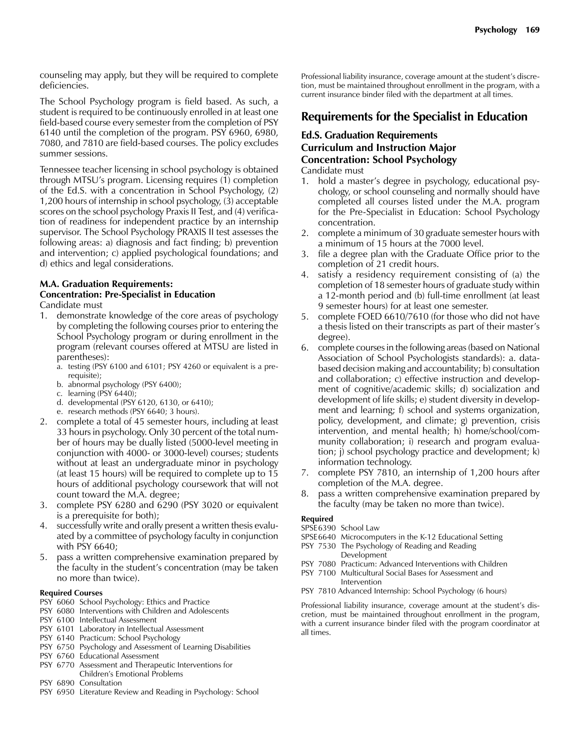counseling may apply, but they will be required to complete deficiencies.

The School Psychology program is field based. As such, a student is required to be continuously enrolled in at least one field-based course every semester from the completion of PSY 6140 until the completion of the program. PSY 6960, 6980, 7080, and 7810 are field-based courses. The policy excludes summer sessions.

Tennessee teacher licensing in school psychology is obtained through MTSU's program. Licensing requires (1) completion of the Ed.S. with a concentration in School Psychology, (2) 1,200 hours of internship in school psychology, (3) acceptable scores on the school psychology Praxis II Test, and (4) verification of readiness for independent practice by an internship supervisor. The School Psychology PRAXIS II test assesses the following areas: a) diagnosis and fact finding; b) prevention and intervention; c) applied psychological foundations; and d) ethics and legal considerations.

# **M.A. Graduation Requirements:**

#### **Concentration: Pre-Specialist in Education** Candidate must

- 1. demonstrate knowledge of the core areas of psychology by completing the following courses prior to entering the School Psychology program or during enrollment in the program (relevant courses offered at MTSU are listed in parentheses):
	- a. testing (PSY 6100 and 6101; PSY 4260 or equivalent is a prerequisite);
	- b. abnormal psychology (PSY 6400);
	- c. learning (PSY 6440);
	- d. developmental (PSY 6120, 6130, or 6410);
	- e. research methods (PSY 6640; 3 hours).
- 2. complete a total of 45 semester hours, including at least 33 hours in psychology. Only 30 percent of the total number of hours may be dually listed (5000-level meeting in conjunction with 4000- or 3000-level) courses; students without at least an undergraduate minor in psychology (at least 15 hours) will be required to complete up to 15 hours of additional psychology coursework that will not count toward the M.A. degree;
- 3. complete PSY 6280 and 6290 (PSY 3020 or equivalent is a prerequisite for both);
- 4. successfully write and orally present a written thesis evaluated by a committee of psychology faculty in conjunction with PSY 6640;
- 5. pass a written comprehensive examination prepared by the faculty in the student's concentration (may be taken no more than twice).

#### **Required Courses**

- PSY 6060 School Psychology: Ethics and Practice
- PSY 6080 Interventions with Children and Adolescents
- PSY 6100 Intellectual Assessment
- PSY 6101 Laboratory in Intellectual Assessment
- PSY 6140 Practicum: School Psychology
- PSY 6750 Psychology and Assessment of Learning Disabilities
- PSY 6760 Educational Assessment
- PSY 6770 Assessment and Therapeutic Interventions for Children's Emotional Problems
- PSY 6890 Consultation
- PSY 6950 Literature Review and Reading in Psychology: School

Professional liability insurance, coverage amount at the student's discretion, must be maintained throughout enrollment in the program, with a current insurance binder filed with the department at all times.

# **Requirements for the Specialist in Education**

# **Ed.S. Graduation Requirements Curriculum and Instruction Major Concentration: School Psychology**

Candidate must

- 1. hold a master's degree in psychology, educational psychology, or school counseling and normally should have completed all courses listed under the M.A. program for the Pre-Specialist in Education: School Psychology concentration.
- 2. complete a minimum of 30 graduate semester hours with a minimum of 15 hours at the 7000 level.
- 3. file a degree plan with the Graduate Office prior to the completion of 21 credit hours.
- 4. satisfy a residency requirement consisting of (a) the completion of 18 semester hours of graduate study within a 12-month period and (b) full-time enrollment (at least 9 semester hours) for at least one semester.
- 5. complete FOED 6610/7610 (for those who did not have a thesis listed on their transcripts as part of their master's degree).
- 6. complete courses in the following areas (based on National Association of School Psychologists standards): a. databased decision making and accountability; b) consultation and collaboration; c) effective instruction and development of cognitive/academic skills; d) socialization and development of life skills; e) student diversity in development and learning; f) school and systems organization, policy, development, and climate; g) prevention, crisis intervention, and mental health; h) home/school/community collaboration; i) research and program evaluation; j) school psychology practice and development; k) information technology.
- 7. complete PSY 7810, an internship of 1,200 hours after completion of the M.A. degree.
- 8. pass a written comprehensive examination prepared by the faculty (may be taken no more than twice).

#### **Required**

- SPSE 6390 School Law
- SPSE 6640 Microcomputers in the K-12 Educational Setting
- PSY 7530 The Psychology of Reading and Reading Development
- PSY 7080 Practicum: Advanced Interventions with Children
- PSY 7100 Multicultural Social Bases for Assessment and Intervention
- PSY 7810 Advanced Internship: School Psychology (6 hours)

Professional liability insurance, coverage amount at the student's discretion, must be maintained throughout enrollment in the program, with a current insurance binder filed with the program coordinator at all times.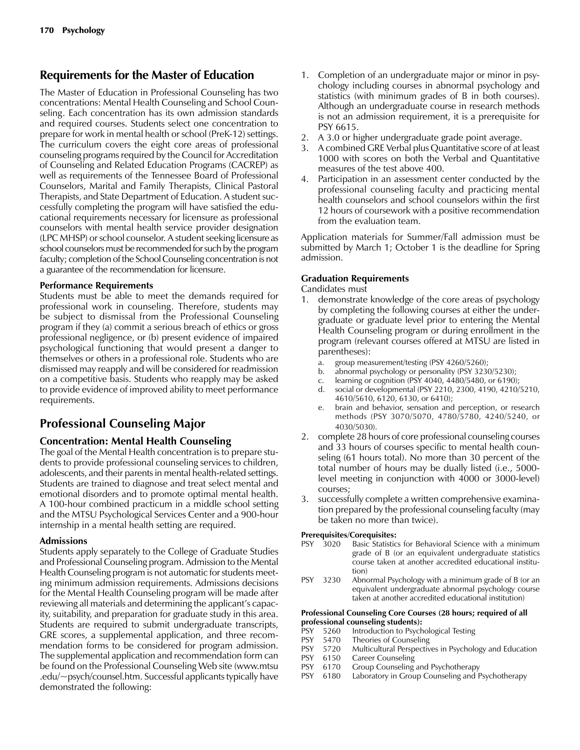# **Requirements for the Master of Education**

The Master of Education in Professional Counseling has two concentrations: Mental Health Counseling and School Counseling. Each concentration has its own admission standards and required courses. Students select one concentration to prepare for work in mental health or school (PreK-12) settings. The curriculum covers the eight core areas of professional counseling programs required by the Council for Accreditation of Counseling and Related Education Programs (CACREP) as well as requirements of the Tennessee Board of Professional Counselors, Marital and Family Therapists, Clinical Pastoral Therapists, and State Department of Education. A student successfully completing the program will have satisfied the educational requirements necessary for licensure as professional counselors with mental health service provider designation (LPC MHSP) or school counselor. A student seeking licensure as school counselors must be recommended forsuch by the program faculty; completion of the School Counseling concentration is not a guarantee of the recommendation for licensure.

# **Performance Requirements**

Students must be able to meet the demands required for professional work in counseling. Therefore, students may be subject to dismissal from the Professional Counseling program if they (a) commit a serious breach of ethics or gross professional negligence, or (b) present evidence of impaired psychological functioning that would present a danger to themselves or others in a professional role. Students who are dismissed may reapply and will be considered for readmission on a competitive basis. Students who reapply may be asked to provide evidence of improved ability to meet performance requirements.

# **Professional Counseling Major**

# **Concentration: Mental Health Counseling**

The goal of the Mental Health concentration is to prepare students to provide professional counseling services to children, adolescents, and their parents in mental health-related settings. Students are trained to diagnose and treat select mental and emotional disorders and to promote optimal mental health. A 100-hour combined practicum in a middle school setting and the MTSU Psychological Services Center and a 900-hour internship in a mental health setting are required.

# **Admissions**

Students apply separately to the College of Graduate Studies and Professional Counseling program. Admission to the Mental Health Counseling program is not automatic for students meeting minimum admission requirements. Admissions decisions for the Mental Health Counseling program will be made after reviewing all materials and determining the applicant's capacity, suitability, and preparation for graduate study in this area. Students are required to submit undergraduate transcripts, GRE scores, a supplemental application, and three recommendation forms to be considered for program admission. The supplemental application and recommendation form can be found on the Professional Counseling Web site (www.mtsu .edu/~psych/counsel.htm. Successful applicants typically have demonstrated the following:

- 1. Completion of an undergraduate major or minor in psychology including courses in abnormal psychology and statistics (with minimum grades of B in both courses). Although an undergraduate course in research methods is not an admission requirement, it is a prerequisite for PSY 6615.
- 2. A 3.0 or higher undergraduate grade point average.
- 3. A combined GRE Verbal plus Quantitative score of at least 1000 with scores on both the Verbal and Quantitative measures of the test above 400.
- 4. Participation in an assessment center conducted by the professional counseling faculty and practicing mental health counselors and school counselors within the first 12 hours of coursework with a positive recommendation from the evaluation team.

Application materials for Summer/Fall admission must be submitted by March 1; October 1 is the deadline for Spring admission.

# **Graduation Requirements**

Candidates must

- demonstrate knowledge of the core areas of psychology by completing the following courses at either the undergraduate or graduate level prior to entering the Mental Health Counseling program or during enrollment in the program (relevant courses offered at MTSU are listed in parentheses):
	- a. group measurement/testing (PSY 4260/5260);
	- b. abnormal psychology or personality (PSY 3230/5230);
	- c. learning or cognition (PSY 4040, 4480/5480, or 6190);
	- d. social or developmental (PSY 2210, 2300, 4190, 4210/5210, 4610/5610, 6120, 6130, or 6410);
	- e. brain and behavior, sensation and perception, or research methods (PSY 3070/5070, 4780/5780, 4240/5240, or 4030/5030).
- 2. complete 28 hours of core professional counseling courses and 33 hours of courses specific to mental health counseling (61 hours total). No more than 30 percent of the total number of hours may be dually listed (i.e., 5000 level meeting in conjunction with 4000 or 3000-level) courses;
- 3. successfully complete a written comprehensive examination prepared by the professional counseling faculty (may be taken no more than twice).

#### **Prerequisites/Corequisites:**

- PSY 3020 Basic Statistics for Behavioral Science with a minimum grade of B (or an equivalent undergraduate statistics course taken at another accredited educational institution)
- PSY 3230 Abnormal Psychology with a minimum grade of B (or an equivalent undergraduate abnormal psychology course taken at another accredited educational institution)

#### **Professional Counseling Core Courses (28 hours; required of all professional counseling students):**

- PSY 5260 Introduction to Psychological Testing
- PSY 5470 Theories of Counseling<br>
PSY 5720 Multicultural Perspectiv
- Multicultural Perspectives in Psychology and Education
- PSY 6150 Career Counseling
- PSY 6170 Group Counseling and Psychotherapy<br>PSY 6180 Laboratory in Group Counseling and I
- Laboratory in Group Counseling and Psychotherapy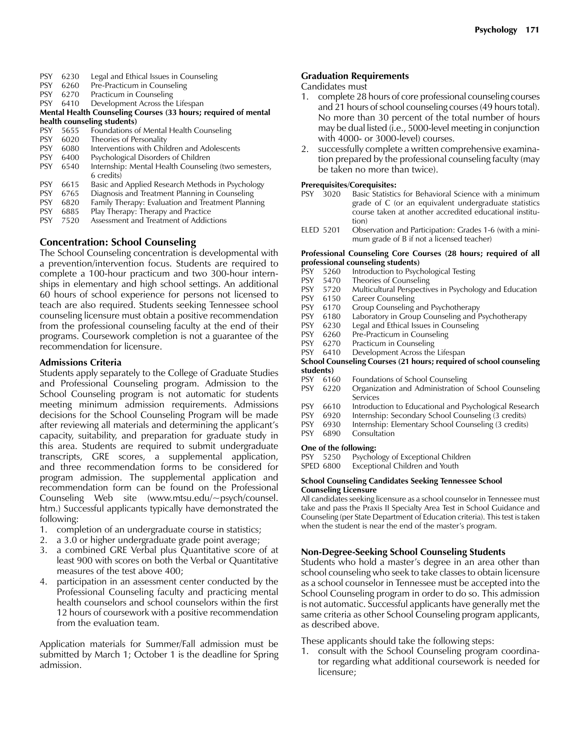- PSY 6230 Legal and Ethical Issues in Counseling
- PSY 6260 Pre-Practicum in Counseling
- PSY 6270 Practicum in Counseling<br>PSY 6410 Development Across the
- Development Across the Lifespan
- **Mental Health Counseling Courses (33 hours; required of mental**
- **health counseling students)**<br>PSY 5655 Foundations o Foundations of Mental Health Counseling
- PSY 6020 Theories of Personality
- PSY 6080 Interventions with Children and Adolescents<br>
PSY 6400 Psychological Disorders of Children
- PSY 6400 Psychological Disorders of Children
- PSY 6540 Internship: Mental Health Counseling (two semesters, 6 credits)<br>6615 Basic and
- PSY 6615 Basic and Applied Research Methods in Psychology<br>
PSY 6765 Diagnosis and Treatment Planning in Counseling
- Diagnosis and Treatment Planning in Counseling
- PSY 6820 Family Therapy: Evaluation and Treatment Planning
- PSY 6885 Play Therapy: Therapy and Practice
- PSY 7520 Assessment and Treatment of Addictions

# **Concentration: School Counseling**

The School Counseling concentration is developmental with a prevention/intervention focus. Students are required to complete a 100-hour practicum and two 300-hour internships in elementary and high school settings. An additional 60 hours of school experience for persons not licensed to teach are also required. Students seeking Tennessee school counseling licensure must obtain a positive recommendation from the professional counseling faculty at the end of their programs. Coursework completion is not a guarantee of the recommendation for licensure.

## **Admissions Criteria**

Students apply separately to the College of Graduate Studies and Professional Counseling program. Admission to the School Counseling program is not automatic for students meeting minimum admission requirements. Admissions decisions for the School Counseling Program will be made after reviewing all materials and determining the applicant's capacity, suitability, and preparation for graduate study in this area. Students are required to submit undergraduate transcripts, GRE scores, a supplemental application, and three recommendation forms to be considered for program admission. The supplemental application and recommendation form can be found on the Professional Counseling Web site (www.mtsu.edu/~psych/counsel. htm.) Successful applicants typically have demonstrated the following:

- 1. completion of an undergraduate course in statistics;
- 2. a 3.0 or higher undergraduate grade point average;
- 3. a combined GRE Verbal plus Quantitative score of at least 900 with scores on both the Verbal or Quantitative measures of the test above 400;
- 4. participation in an assessment center conducted by the Professional Counseling faculty and practicing mental health counselors and school counselors within the first 12 hours of coursework with a positive recommendation from the evaluation team.

Application materials for Summer/Fall admission must be submitted by March 1; October 1 is the deadline for Spring admission.

## **Graduation Requirements**

#### Candidates must

- 1. complete 28 hours of core professional counseling courses and 21 hours of school counseling courses (49 hours total). No more than 30 percent of the total number of hours may be dual listed (i.e., 5000-level meeting in conjunction with 4000- or 3000-level) courses.
- 2. successfully complete a written comprehensive examination prepared by the professional counseling faculty (may be taken no more than twice).

#### **Prerequisites/Corequisites:**

- PSY 3020 Basic Statistics for Behavioral Science with a minimum grade of C (or an equivalent undergraduate statistics course taken at another accredited educational institution)
- ELED 5201 Observation and Participation: Grades 1-6 (with a minimum grade of B if not a licensed teacher)

#### **Professional Counseling Core Courses (28 hours; required of all professional counseling students)**

- PSY 5260 Introduction to Psychological Testing<br>PSY 5470 Theories of Counseling
- Theories of Counseling
- PSY 5720 Multicultural Perspectives in Psychology and Education
- PSY 6150 Career Counseling
- PSY 6170 Group Counseling and Psychotherapy<br>PSY 6180 Laboratory in Group Counseling and F
- PSY 6180 Laboratory in Group Counseling and Psychotherapy<br>PSY 6230 Legal and Ethical Issues in Counseling
- Legal and Ethical Issues in Counseling
- PSY 6260 Pre-Practicum in Counseling<br>PSY 6270 Practicum in Counseling
- PSY 6270 Practicum in Counseling<br>PSY 6410 Development Across the
- Development Across the Lifespan

#### **School Counseling Courses (21 hours; required of school counseling students)**

- PSY 6160 Foundations of School Counseling
- PSY 6220 Organization and Administration of School Counseling Services
- PSY 6610 Introduction to Educational and Psychological Research<br>
PSY 6920 Internship: Secondary School Counseling (3 credits)
- Internship: Secondary School Counseling (3 credits)
- PSY 6930 Internship: Elementary School Counseling (3 credits)
- PSY 6890 Consultation

# **One of the following:**<br>PSY 5250 Psycho

- Psychology of Exceptional Children
- SPED 6800 Exceptional Children and Youth

#### **School Counseling Candidates Seeking Tennessee School Counseling Licensure**

All candidates seeking licensure as a school counselor in Tennessee must take and pass the Praxis II Specialty Area Test in School Guidance and Counseling (per State Department of Education criteria). This test is taken when the student is near the end of the master's program.

#### **Non-Degree-Seeking School Counseling Students**

Students who hold a master's degree in an area other than school counseling who seek to take classes to obtain licensure as a school counselor in Tennessee must be accepted into the School Counseling program in order to do so. This admission is not automatic. Successful applicants have generally met the same criteria as other School Counseling program applicants, as described above.

These applicants should take the following steps:

1. consult with the School Counseling program coordinator regarding what additional coursework is needed for licensure;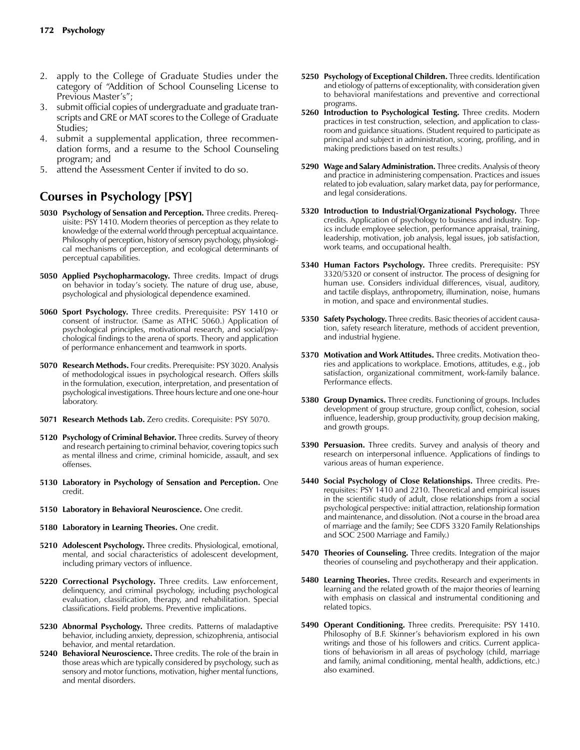- 2. apply to the College of Graduate Studies under the category of "Addition of School Counseling License to Previous Master's";
- 3. submit official copies of undergraduate and graduate transcripts and GRE or MAT scores to the College of Graduate Studies;
- 4. submit a supplemental application, three recommendation forms, and a resume to the School Counseling program; and
- 5. attend the Assessment Center if invited to do so.

# **Courses in Psychology [PSY]**

- **5030 Psychology of Sensation and Perception.** Three credits. Prerequisite: PSY 1410. Modern theories of perception as they relate to knowledge of the external world through perceptual acquaintance. Philosophy of perception, history of sensory psychology, physiological mechanisms of perception, and ecological determinants of perceptual capabilities.
- **5050 Applied Psychopharmacology.** Three credits. Impact of drugs on behavior in today's society. The nature of drug use, abuse, psychological and physiological dependence examined.
- **5060 Sport Psychology.** Three credits. Prerequisite: PSY 1410 or consent of instructor. (Same as ATHC 5060.) Application of psychological principles, motivational research, and social/psychological findings to the arena of sports. Theory and application of performance enhancement and teamwork in sports.
- **5070 Research Methods.** Four credits. Prerequisite: PSY 3020. Analysis of methodological issues in psychological research. Offers skills in the formulation, execution, interpretation, and presentation of psychological investigations. Three hours lecture and one one-hour laboratory.
- **5071 Research Methods Lab.** Zero credits. Corequisite: PSY 5070.
- **5120 Psychology of Criminal Behavior.** Three credits. Survey of theory and research pertaining to criminal behavior, covering topics such as mental illness and crime, criminal homicide, assault, and sex offenses.
- **5130 Laboratory in Psychology of Sensation and Perception.** One credit.
- **5150 Laboratory in Behavioral Neuroscience.** One credit.
- **5180 Laboratory in Learning Theories.** One credit.
- **5210 Adolescent Psychology.** Three credits. Physiological, emotional, mental, and social characteristics of adolescent development, including primary vectors of influence.
- **5220 Correctional Psychology.** Three credits. Law enforcement, delinquency, and criminal psychology, including psychological evaluation, classification, therapy, and rehabilitation. Special classifications. Field problems. Preventive implications.
- **5230 Abnormal Psychology.** Three credits. Patterns of maladaptive behavior, including anxiety, depression, schizophrenia, antisocial behavior, and mental retardation.
- **5240 Behavioral Neuroscience.** Three credits. The role of the brain in those areas which are typically considered by psychology, such as sensory and motor functions, motivation, higher mental functions, and mental disorders.
- **5250 Psychology of Exceptional Children.** Three credits. Identification and etiology of patterns of exceptionality, with consideration given to behavioral manifestations and preventive and correctional programs.
- **5260 Introduction to Psychological Testing.** Three credits. Modern practices in test construction, selection, and application to classroom and guidance situations. (Student required to participate as principal and subject in administration, scoring, profiling, and in making predictions based on test results.)
- **5290 Wage and Salary Administration.** Three credits. Analysis of theory and practice in administering compensation. Practices and issues related to job evaluation, salary market data, pay for performance, and legal considerations.
- **5320 Introduction to Industrial/Organizational Psychology.** Three credits. Application of psychology to business and industry. Topics include employee selection, performance appraisal, training, leadership, motivation, job analysis, legal issues, job satisfaction, work teams, and occupational health.
- **5340 Human Factors Psychology.** Three credits. Prerequisite: PSY 3320/5320 or consent of instructor. The process of designing for human use. Considers individual differences, visual, auditory, and tactile displays, anthropometry, illumination, noise, humans in motion, and space and environmental studies.
- **5350 Safety Psychology.** Three credits. Basic theories of accident causation, safety research literature, methods of accident prevention, and industrial hygiene.
- **5370 Motivation and Work Attitudes.** Three credits. Motivation theories and applications to workplace. Emotions, attitudes, e.g., job satisfaction, organizational commitment, work-family balance. Performance effects.
- **5380 Group Dynamics.** Three credits. Functioning of groups. Includes development of group structure, group conflict, cohesion, social influence, leadership, group productivity, group decision making, and growth groups.
- **5390 Persuasion.** Three credits. Survey and analysis of theory and research on interpersonal influence. Applications of findings to various areas of human experience.
- **5440 Social Psychology of Close Relationships.** Three credits. Prerequisites: PSY 1410 and 2210. Theoretical and empirical issues in the scientific study of adult, close relationships from a social psychological perspective: initial attraction, relationship formation and maintenance, and dissolution. (Not a course in the broad area of marriage and the family; See CDFS 3320 Family Relationships and SOC 2500 Marriage and Family.)
- **5470 Theories of Counseling.** Three credits. Integration of the major theories of counseling and psychotherapy and their application.
- **5480 Learning Theories.** Three credits. Research and experiments in learning and the related growth of the major theories of learning with emphasis on classical and instrumental conditioning and related topics.
- **5490 Operant Conditioning.** Three credits. Prerequisite: PSY 1410. Philosophy of B.F. Skinner's behaviorism explored in his own writings and those of his followers and critics. Current applications of behaviorism in all areas of psychology (child, marriage and family, animal conditioning, mental health, addictions, etc.) also examined.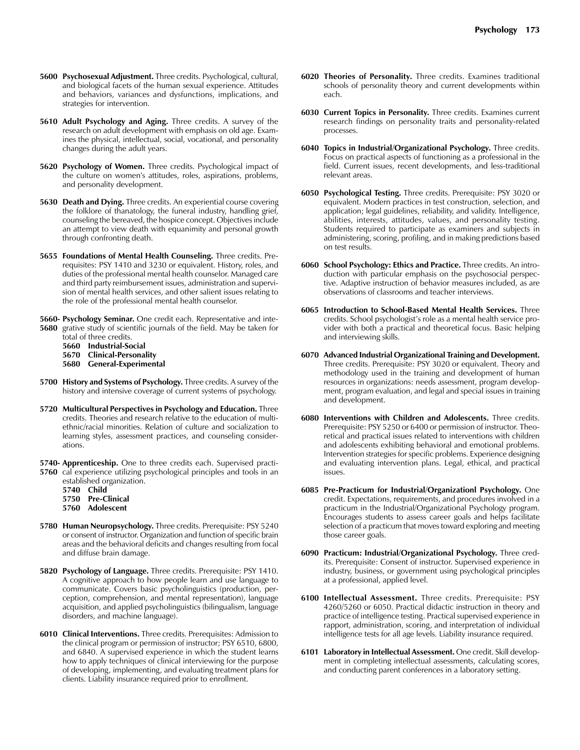- **5600 Psychosexual Adjustment.** Three credits. Psychological, cultural, and biological facets of the human sexual experience. Attitudes and behaviors, variances and dysfunctions, implications, and strategies for intervention.
- **5610 Adult Psychology and Aging.** Three credits. A survey of the research on adult development with emphasis on old age. Examines the physical, intellectual, social, vocational, and personality changes during the adult years.
- **5620 Psychology of Women.** Three credits. Psychological impact of the culture on women's attitudes, roles, aspirations, problems, and personality development.
- **5630 Death and Dying.** Three credits. An experiential course covering the folklore of thanatology, the funeral industry, handling grief, counseling the bereaved, the hospice concept. Objectives include an attempt to view death with equanimity and personal growth through confronting death.
- **5655 Foundations of Mental Health Counseling.** Three credits. Prerequisites: PSY 1410 and 3230 or equivalent. History, roles, and duties of the professional mental health counselor. Managed care and third party reimbursement issues, administration and supervision of mental health services, and other salient issues relating to the role of the professional mental health counselor.
- **5660- Psychology Seminar.** One credit each. Representative and inte-**5680** grative study of scientific journals of the field. May be taken for
	- total of three credits.
	- **5660 Industrial-Social**
	- **5670 Clinical-Personality**
	- **5680 General-Experimental**
- **5700 History and Systems of Psychology.** Three credits. A survey of the history and intensive coverage of current systems of psychology.
- **5720 Multicultural Perspectives in Psychology and Education.** Three credits. Theories and research relative to the education of multiethnic/racial minorities. Relation of culture and socialization to learning styles, assessment practices, and counseling considerations.
- **5740- Apprenticeship.** One to three credits each. Supervised practi-**5760** cal experience utilizing psychological principles and tools in an
	- established organization. **5740 Child 5750 Pre-Clinical 5760 Adolescent**
	-
- **5780 Human Neuropsychology.** Three credits. Prerequisite: PSY 5240 or consent of instructor. Organization and function of specific brain areas and the behavioral deficits and changes resulting from focal and diffuse brain damage.
- **5820 Psychology of Language.** Three credits. Prerequisite: PSY 1410. A cognitive approach to how people learn and use language to communicate. Covers basic psycholinguistics (production, perception, comprehension, and mental representation), language acquisition, and applied psycholinguistics (bilingualism, language disorders, and machine language).
- **6010 Clinical Interventions.** Three credits. Prerequisites: Admission to the clinical program or permission of instructor; PSY 6510, 6800, and 6840. A supervised experience in which the student learns how to apply techniques of clinical interviewing for the purpose of developing, implementing, and evaluating treatment plans for clients. Liability insurance required prior to enrollment.
- **6020 Theories of Personality.** Three credits. Examines traditional schools of personality theory and current developments within each.
- **6030 Current Topics in Personality.** Three credits. Examines current research findings on personality traits and personality-related processes.
- **6040 Topics in Industrial/Organizational Psychology.** Three credits. Focus on practical aspects of functioning as a professional in the field. Current issues, recent developments, and less-traditional relevant areas.
- **6050 Psychological Testing.** Three credits. Prerequisite: PSY 3020 or equivalent. Modern practices in test construction, selection, and application; legal guidelines, reliability, and validity. Intelligence, abilities, interests, attitudes, values, and personality testing. Students required to participate as examiners and subjects in administering, scoring, profiling, and in making predictions based on test results.
- **6060 School Psychology: Ethics and Practice.** Three credits. An introduction with particular emphasis on the psychosocial perspective. Adaptive instruction of behavior measures included, as are observations of classrooms and teacher interviews.
- **6065 Introduction to School-Based Mental Health Services.** Three credits. School psychologist's role as a mental health service provider with both a practical and theoretical focus. Basic helping and interviewing skills.
- **6070 Advanced Industrial Organizational Training and Development.**  Three credits. Prerequisite: PSY 3020 or equivalent. Theory and methodology used in the training and development of human resources in organizations: needs assessment, program development, program evaluation, and legal and special issues in training and development.
- **6080 Interventions with Children and Adolescents.** Three credits. Prerequisite: PSY 5250 or 6400 or permission of instructor. Theoretical and practical issues related to interventions with children and adolescents exhibiting behavioral and emotional problems. Intervention strategies for specific problems. Experience designing and evaluating intervention plans. Legal, ethical, and practical issues.
- **6085 Pre-Practicum for Industrial/Organizationl Psychology.** One credit. Expectations, requirements, and procedures involved in a practicum in the Industrial/Organizational Psychology program. Encourages students to assess career goals and helps facilitate selection of a practicum that moves toward exploring and meeting those career goals.
- **6090 Practicum: Industrial/Organizational Psychology.** Three credits. Prerequisite: Consent of instructor. Supervised experience in industry, business, or government using psychological principles at a professional, applied level.
- **6100 Intellectual Assessment.** Three credits. Prerequisite: PSY 4260/5260 or 6050. Practical didactic instruction in theory and practice of intelligence testing. Practical supervised experience in rapport, administration, scoring, and interpretation of individual intelligence tests for all age levels. Liability insurance required.
- **6101 Laboratory in Intellectual Assessment.** One credit. Skill development in completing intellectual assessments, calculating scores, and conducting parent conferences in a laboratory setting.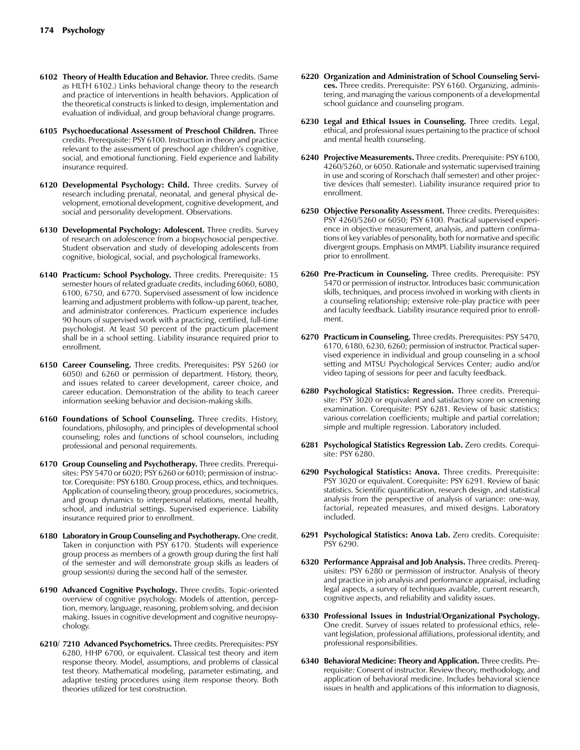- **6102 Theory of Health Education and Behavior.** Three credits. (Same as HLTH 6102.) Links behavioral change theory to the research and practice of interventions in health behaviors. Application of the theoretical constructs is linked to design, implementation and evaluation of individual, and group behavioral change programs.
- **6105 Psychoeducational Assessment of Preschool Children.** Three credits. Prerequisite: PSY 6100. Instruction in theory and practice relevant to the assessment of preschool age children's cognitive, social, and emotional functioning. Field experience and liability insurance required.
- **6120 Developmental Psychology: Child.** Three credits. Survey of research including prenatal, neonatal, and general physical development, emotional development, cognitive development, and social and personality development. Observations.
- **6130 Developmental Psychology: Adolescent.** Three credits. Survey of research on adolescence from a biopsychosocial perspective. Student observation and study of developing adolescents from cognitive, biological, social, and psychological frameworks.
- **6140 Practicum: School Psychology.** Three credits. Prerequisite: 15 semester hours of related graduate credits, including 6060, 6080, 6100, 6750, and 6770. Supervised assessment of low incidence learning and adjustment problems with follow-up parent, teacher, and administrator conferences. Practicum experience includes 90 hours of supervised work with a practicing, certified, full-time psychologist. At least 50 percent of the practicum placement shall be in a school setting. Liability insurance required prior to enrollment.
- **6150 Career Counseling.** Three credits. Prerequisites: PSY 5260 (or 6050) and 6260 or permission of department. History, theory, and issues related to career development, career choice, and career education. Demonstration of the ability to teach career information seeking behavior and decision-making skills.
- **6160 Foundations of School Counseling.** Three credits. History, foundations, philosophy, and principles of developmental school counseling; roles and functions of school counselors, including professional and personal requirements.
- **6170 Group Counseling and Psychotherapy.** Three credits. Prerequisites: PSY 5470 or 6020; PSY 6260 or 6010; permission of instructor. Corequisite: PSY 6180. Group process, ethics, and techniques. Application of counseling theory, group procedures, sociometrics, and group dynamics to interpersonal relations, mental health, school, and industrial settings. Supervised experience. Liability insurance required prior to enrollment.
- **6180 Laboratory in Group Counseling and Psychotherapy.** One credit. Taken in conjunction with PSY 6170. Students will experience group process as members of a growth group during the first half of the semester and will demonstrate group skills as leaders of group session(s) during the second half of the semester.
- **6190 Advanced Cognitive Psychology.** Three credits. Topic-oriented overview of cognitive psychology. Models of attention, perception, memory, language, reasoning, problem solving, and decision making. Issues in cognitive development and cognitive neuropsychology.
- **6210/ 7210 Advanced Psychometrics.** Three credits. Prerequisites: PSY 6280, HHP 6700, or equivalent. Classical test theory and item response theory. Model, assumptions, and problems of classical test theory. Mathematical modeling, parameter estimating, and adaptive testing procedures using item response theory. Both theories utilized for test construction.
- **6220 Organization and Administration of School Counseling Services.** Three credits. Prerequisite: PSY 6160. Organizing, administering, and managing the various components of a developmental school guidance and counseling program.
- **6230 Legal and Ethical Issues in Counseling.** Three credits. Legal, ethical, and professional issues pertaining to the practice of school and mental health counseling.
- **6240 Projective Measurements.** Three credits. Prerequisite: PSY 6100, 4260/5260, or 6050. Rationale and systematic supervised training in use and scoring of Rorschach (half semester) and other projective devices (half semester). Liability insurance required prior to enrollment.
- **6250 Objective Personality Assessment.** Three credits. Prerequisites: PSY 4260/5260 or 6050; PSY 6100. Practical supervised experience in objective measurement, analysis, and pattern confirmations of key variables of personality, both for normative and specific divergent groups. Emphasis on MMPI. Liability insurance required prior to enrollment.
- **6260 Pre-Practicum in Counseling.** Three credits. Prerequisite: PSY 5470 or permission of instructor. Introduces basic communication skills, techniques, and process involved in working with clients in a counseling relationship; extensive role-play practice with peer and faculty feedback. Liability insurance required prior to enrollment.
- **6270 Practicum in Counseling.** Three credits. Prerequisites: PSY 5470, 6170, 6180, 6230, 6260; permission of instructor. Practical supervised experience in individual and group counseling in a school setting and MTSU Psychological Services Center; audio and/or video taping of sessions for peer and faculty feedback.
- **6280 Psychological Statistics: Regression.** Three credits. Prerequisite: PSY 3020 or equivalent and satisfactory score on screening examination. Corequisite: PSY 6281. Review of basic statistics; various correlation coefficients; multiple and partial correlation; simple and multiple regression. Laboratory included.
- **6281 Psychological Statistics Regression Lab.** Zero credits. Corequisite: PSY 6280.
- **6290 Psychological Statistics: Anova.** Three credits. Prerequisite: PSY 3020 or equivalent. Corequisite: PSY 6291. Review of basic statistics. Scientific quantification, research design, and statistical analysis from the perspective of analysis of variance: one-way, factorial, repeated measures, and mixed designs. Laboratory included.
- **6291 Psychological Statistics: Anova Lab.** Zero credits. Corequisite: PSY 6290.
- **6320 Performance Appraisal and Job Analysis.** Three credits. Prerequisites: PSY 6280 or permission of instructor. Analysis of theory and practice in job analysis and performance appraisal, including legal aspects, a survey of techniques available, current research, cognitive aspects, and reliability and validity issues.
- **6330 Professional Issues in Industrial/Organizational Psychology.**  One credit. Survey of issues related to professional ethics, relevant legislation, professional affiliations, professional identity, and professional responsibilities.
- **6340 Behavioral Medicine: Theory and Application.** Three credits. Prerequisite: Consent of instructor. Review theory, methodology, and application of behavioral medicine. Includes behavioral science issues in health and applications of this information to diagnosis,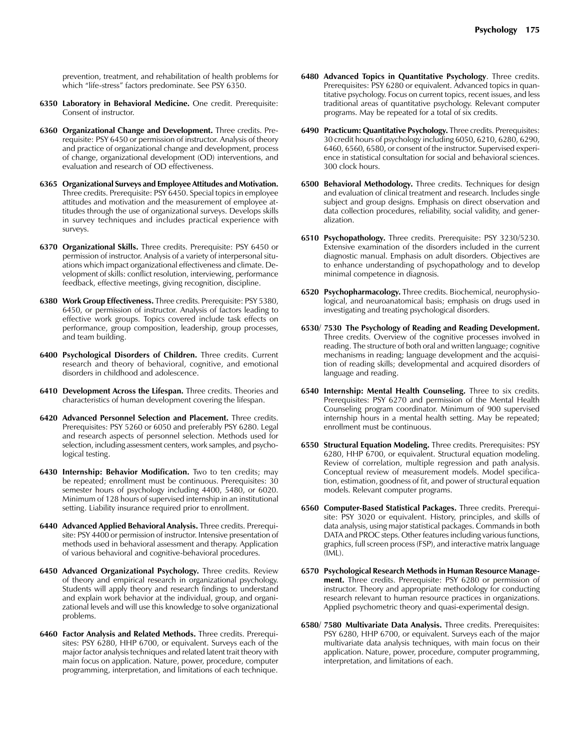prevention, treatment, and rehabilitation of health problems for which "life-stress" factors predominate. See PSY 6350.

- **6350 Laboratory in Behavioral Medicine.** One credit. Prerequisite: Consent of instructor.
- **6360 Organizational Change and Development.** Three credits. Prerequisite: PSY 6450 or permission of instructor. Analysis of theory and practice of organizational change and development, process of change, organizational development (OD) interventions, and evaluation and research of OD effectiveness.
- **6365 Organizational Surveys and Employee Attitudes and Motivation.**  Three credits. Prerequisite: PSY 6450. Special topics in employee attitudes and motivation and the measurement of employee attitudes through the use of organizational surveys. Develops skills in survey techniques and includes practical experience with surveys.
- **6370 Organizational Skills.** Three credits. Prerequisite: PSY 6450 or permission of instructor. Analysis of a variety of interpersonal situations which impact organizational effectiveness and climate. Development of skills: conflict resolution, interviewing, performance feedback, effective meetings, giving recognition, discipline.
- **6380 Work Group Effectiveness.** Three credits. Prerequisite: PSY 5380, 6450, or permission of instructor. Analysis of factors leading to effective work groups. Topics covered include task effects on performance, group composition, leadership, group processes, and team building.
- **6400 Psychological Disorders of Children.** Three credits. Current research and theory of behavioral, cognitive, and emotional disorders in childhood and adolescence.
- **6410 Development Across the Lifespan.** Three credits. Theories and characteristics of human development covering the lifespan.
- **6420 Advanced Personnel Selection and Placement.** Three credits. Prerequisites: PSY 5260 or 6050 and preferably PSY 6280. Legal and research aspects of personnel selection. Methods used for selection, including assessment centers, work samples, and psychological testing.
- **6430 Internship: Behavior Modification.** Two to ten credits; may be repeated; enrollment must be continuous. Prerequisites: 30 semester hours of psychology including 4400, 5480, or 6020. Minimum of 128 hours of supervised internship in an institutional setting. Liability insurance required prior to enrollment.
- **6440 Advanced Applied Behavioral Analysis.** Three credits. Prerequisite: PSY 4400 or permission of instructor. Intensive presentation of methods used in behavioral assessment and therapy. Application of various behavioral and cognitive-behavioral procedures.
- **6450 Advanced Organizational Psychology.** Three credits. Review of theory and empirical research in organizational psychology. Students will apply theory and research findings to understand and explain work behavior at the individual, group, and organizational levels and will use this knowledge to solve organizational problems.
- **6460 Factor Analysis and Related Methods.** Three credits. Prerequisites: PSY 6280, HHP 6700, or equivalent. Surveys each of the major factor analysis techniques and related latent trait theory with main focus on application. Nature, power, procedure, computer programming, interpretation, and limitations of each technique.
- **6480 Advanced Topics in Quantitative Psychology**. Three credits. Prerequisites: PSY 6280 or equivalent. Advanced topics in quantitative psychology. Focus on current topics, recent issues, and less traditional areas of quantitative psychology. Relevant computer programs. May be repeated for a total of six credits.
- **6490 Practicum: Quantitative Psychology.** Three credits. Prerequisites: 30 credit hours of psychology including 6050, 6210, 6280, 6290, 6460, 6560, 6580, or consent of the instructor. Supervised experience in statistical consultation for social and behavioral sciences. 300 clock hours.
- **6500 Behavioral Methodology.** Three credits. Techniques for design and evaluation of clinical treatment and research. Includes single subject and group designs. Emphasis on direct observation and data collection procedures, reliability, social validity, and generalization.
- **6510 Psychopathology.** Three credits. Prerequisite: PSY 3230/5230. Extensive examination of the disorders included in the current diagnostic manual. Emphasis on adult disorders. Objectives are to enhance understanding of psychopathology and to develop minimal competence in diagnosis.
- **6520 Psychopharmacology.** Three credits. Biochemical, neurophysiological, and neuroanatomical basis; emphasis on drugs used in investigating and treating psychological disorders.
- **6530/ 7530 The Psychology of Reading and Reading Development.**  Three credits. Overview of the cognitive processes involved in reading. The structure of both oral and written language; cognitive mechanisms in reading; language development and the acquisition of reading skills; developmental and acquired disorders of language and reading.
- **6540 Internship: Mental Health Counseling.** Three to six credits. Prerequisites: PSY 6270 and permission of the Mental Health Counseling program coordinator. Minimum of 900 supervised internship hours in a mental health setting. May be repeated; enrollment must be continuous.
- **6550 Structural Equation Modeling.** Three credits. Prerequisites: PSY 6280, HHP 6700, or equivalent. Structural equation modeling. Review of correlation, multiple regression and path analysis. Conceptual review of measurement models. Model specification, estimation, goodness of fit, and power of structural equation models. Relevant computer programs.
- **6560 Computer-Based Statistical Packages.** Three credits. Prerequisite: PSY 3020 or equivalent. History, principles, and skills of data analysis, using major statistical packages. Commands in both DATA and PROC steps. Other features including various functions, graphics, full screen process (FSP), and interactive matrix language (IML).
- **6570 Psychological Research Methods in Human Resource Management.** Three credits. Prerequisite: PSY 6280 or permission of instructor. Theory and appropriate methodology for conducting research relevant to human resource practices in organizations. Applied psychometric theory and quasi-experimental design.
- **6580/ 7580 Multivariate Data Analysis.** Three credits. Prerequisites: PSY 6280, HHP 6700, or equivalent. Surveys each of the major multivariate data analysis techniques, with main focus on their application. Nature, power, procedure, computer programming, interpretation, and limitations of each.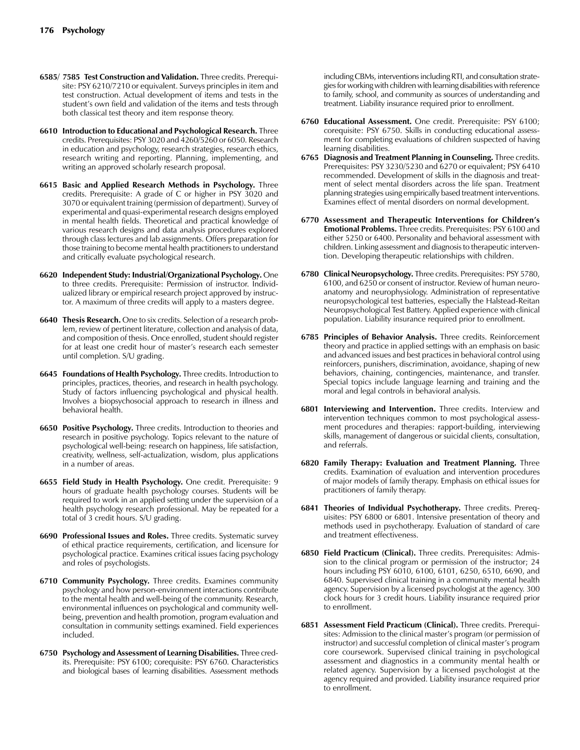- **6585/ 7585 Test Construction and Validation.** Three credits. Prerequisite: PSY 6210/7210 or equivalent. Surveys principles in item and test construction. Actual development of items and tests in the student's own field and validation of the items and tests through both classical test theory and item response theory.
- **6610 Introduction to Educational and Psychological Research.** Three credits. Prerequisites: PSY 3020 and 4260/5260 or 6050. Research in education and psychology, research strategies, research ethics, research writing and reporting. Planning, implementing, and writing an approved scholarly research proposal.
- **6615 Basic and Applied Research Methods in Psychology.** Three credits. Prerequisite: A grade of C or higher in PSY 3020 and 3070 or equivalent training (permission of department). Survey of experimental and quasi-experimental research designs employed in mental health fields. Theoretical and practical knowledge of various research designs and data analysis procedures explored through class lectures and lab assignments. Offers preparation for those training to become mental health practitioners to understand and critically evaluate psychological research.
- **6620 Independent Study: Industrial/Organizational Psychology.** One to three credits. Prerequisite: Permission of instructor. Individualized library or empirical research project approved by instructor. A maximum of three credits will apply to a masters degree.
- **6640 Thesis Research.** One to six credits. Selection of a research problem, review of pertinent literature, collection and analysis of data, and composition of thesis. Once enrolled, student should register for at least one credit hour of master's research each semester until completion. S/U grading.
- **6645 Foundations of Health Psychology.** Three credits. Introduction to principles, practices, theories, and research in health psychology. Study of factors influencing psychological and physical health. Involves a biopsychosocial approach to research in illness and behavioral health.
- **6650 Positive Psychology.** Three credits. Introduction to theories and research in positive psychology. Topics relevant to the nature of psychological well-being: research on happiness, life satisfaction, creativity, wellness, self-actualization, wisdom, plus applications in a number of areas.
- **6655 Field Study in Health Psychology.** One credit. Prerequisite: 9 hours of graduate health psychology courses. Students will be required to work in an applied setting under the supervision of a health psychology research professional. May be repeated for a total of 3 credit hours. S/U grading.
- **6690 Professional Issues and Roles.** Three credits. Systematic survey of ethical practice requirements, certification, and licensure for psychological practice. Examines critical issues facing psychology and roles of psychologists.
- **6710 Community Psychology.** Three credits. Examines community psychology and how person-environment interactions contribute to the mental health and well-being of the community. Research, environmental influences on psychological and community wellbeing, prevention and health promotion, program evaluation and consultation in community settings examined. Field experiences included.
- **6750 Psychology and Assessment of Learning Disabilities.** Three credits. Prerequisite: PSY 6100; corequisite: PSY 6760. Characteristics and biological bases of learning disabilities. Assessment methods

including CBMs, interventions including RTI, and consultation strategies for working with children with learning disabilities with reference to family, school, and community as sources of understanding and treatment. Liability insurance required prior to enrollment.

- **6760 Educational Assessment.** One credit. Prerequisite: PSY 6100; corequisite: PSY 6750. Skills in conducting educational assessment for completing evaluations of children suspected of having learning disabilities.
- **6765 Diagnosis and Treatment Planning in Counseling.** Three credits. Prerequisites: PSY 3230/5230 and 6270 or equivalent; PSY 6410 recommended. Development of skills in the diagnosis and treatment of select mental disorders across the life span. Treatment planning strategies using empirically based treatment interventions. Examines effect of mental disorders on normal development.
- **6770 Assessment and Therapeutic Interventions for Children's Emotional Problems.** Three credits. Prerequisites: PSY 6100 and either 5250 or 6400. Personality and behavioral assessment with children. Linking assessment and diagnosis to therapeutic intervention. Developing therapeutic relationships with children.
- **6780 Clinical Neuropsychology.** Three credits. Prerequisites: PSY 5780, 6100, and 6250 or consent of instructor. Review of human neuroanatomy and neurophysiology. Administration of representative neuropsychological test batteries, especially the Halstead-Reitan Neuropsychological Test Battery. Applied experience with clinical population. Liability insurance required prior to enrollment.
- **6785 Principles of Behavior Analysis.** Three credits. Reinforcement theory and practice in applied settings with an emphasis on basic and advanced issues and best practices in behavioral control using reinforcers, punishers, discrimination, avoidance, shaping of new behaviors, chaining, contingencies, maintenance, and transfer. Special topics include language learning and training and the moral and legal controls in behavioral analysis.
- **6801 Interviewing and Intervention.** Three credits. Interview and intervention techniques common to most psychological assessment procedures and therapies: rapport-building, interviewing skills, management of dangerous or suicidal clients, consultation, and referrals.
- **6820 Family Therapy: Evaluation and Treatment Planning.** Three credits. Examination of evaluation and intervention procedures of major models of family therapy. Emphasis on ethical issues for practitioners of family therapy.
- **6841 Theories of Individual Psychotherapy.** Three credits. Prerequisites: PSY 6800 or 6801. Intensive presentation of theory and methods used in psychotherapy. Evaluation of standard of care and treatment effectiveness.
- **6850 Field Practicum (Clinical).** Three credits. Prerequisites: Admission to the clinical program or permission of the instructor; 24 hours including PSY 6010, 6100, 6101, 6250, 6510, 6690, and 6840. Supervised clinical training in a community mental health agency. Supervision by a licensed psychologist at the agency. 300 clock hours for 3 credit hours. Liability insurance required prior to enrollment.
- **6851 Assessment Field Practicum (Clinical).** Three credits. Prerequisites: Admission to the clinical master's program (or permission of instructor) and successful completion of clinical master's program core coursework. Supervised clinical training in psychological assessment and diagnostics in a community mental health or related agency. Supervision by a licensed psychologist at the agency required and provided. Liability insurance required prior to enrollment.